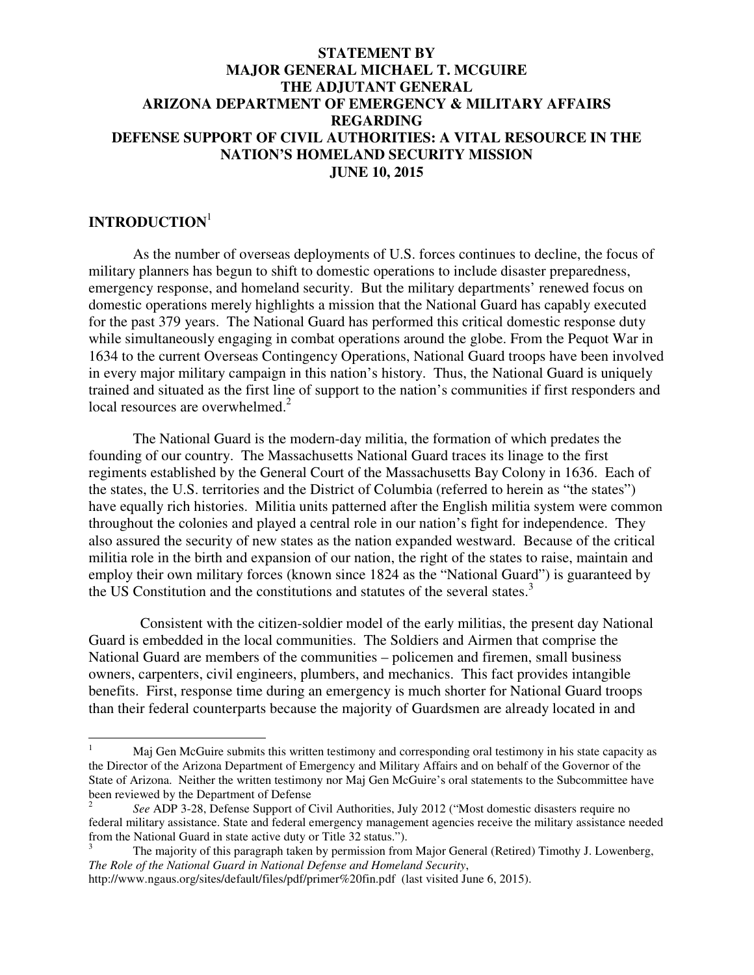# **STATEMENT BY MAJOR GENERAL MICHAEL T. MCGUIRE THE ADJUTANT GENERAL ARIZONA DEPARTMENT OF EMERGENCY & MILITARY AFFAIRS REGARDING DEFENSE SUPPORT OF CIVIL AUTHORITIES: A VITAL RESOURCE IN THE NATION'S HOMELAND SECURITY MISSION JUNE 10, 2015**

# **INTRODUCTION**<sup>1</sup>

 $\overline{a}$ 

 As the number of overseas deployments of U.S. forces continues to decline, the focus of military planners has begun to shift to domestic operations to include disaster preparedness, emergency response, and homeland security. But the military departments' renewed focus on domestic operations merely highlights a mission that the National Guard has capably executed for the past 379 years. The National Guard has performed this critical domestic response duty while simultaneously engaging in combat operations around the globe. From the Pequot War in 1634 to the current Overseas Contingency Operations, National Guard troops have been involved in every major military campaign in this nation's history. Thus, the National Guard is uniquely trained and situated as the first line of support to the nation's communities if first responders and local resources are overwhelmed.<sup>2</sup>

The National Guard is the modern-day militia, the formation of which predates the founding of our country. The Massachusetts National Guard traces its linage to the first regiments established by the General Court of the Massachusetts Bay Colony in 1636. Each of the states, the U.S. territories and the District of Columbia (referred to herein as "the states") have equally rich histories. Militia units patterned after the English militia system were common throughout the colonies and played a central role in our nation's fight for independence. They also assured the security of new states as the nation expanded westward. Because of the critical militia role in the birth and expansion of our nation, the right of the states to raise, maintain and employ their own military forces (known since 1824 as the "National Guard") is guaranteed by the US Constitution and the constitutions and statutes of the several states.<sup>3</sup>

 Consistent with the citizen-soldier model of the early militias, the present day National Guard is embedded in the local communities. The Soldiers and Airmen that comprise the National Guard are members of the communities – policemen and firemen, small business owners, carpenters, civil engineers, plumbers, and mechanics. This fact provides intangible benefits. First, response time during an emergency is much shorter for National Guard troops than their federal counterparts because the majority of Guardsmen are already located in and

<sup>1</sup> Maj Gen McGuire submits this written testimony and corresponding oral testimony in his state capacity as the Director of the Arizona Department of Emergency and Military Affairs and on behalf of the Governor of the State of Arizona. Neither the written testimony nor Maj Gen McGuire's oral statements to the Subcommittee have been reviewed by the Department of Defense

<sup>2</sup> *See* ADP 3-28, Defense Support of Civil Authorities, July 2012 ("Most domestic disasters require no federal military assistance. State and federal emergency management agencies receive the military assistance needed from the National Guard in state active duty or Title 32 status.").

<sup>3</sup> The majority of this paragraph taken by permission from Major General (Retired) Timothy J. Lowenberg, *The Role of the National Guard in National Defense and Homeland Security*,

http://www.ngaus.org/sites/default/files/pdf/primer%20fin.pdf (last visited June 6, 2015).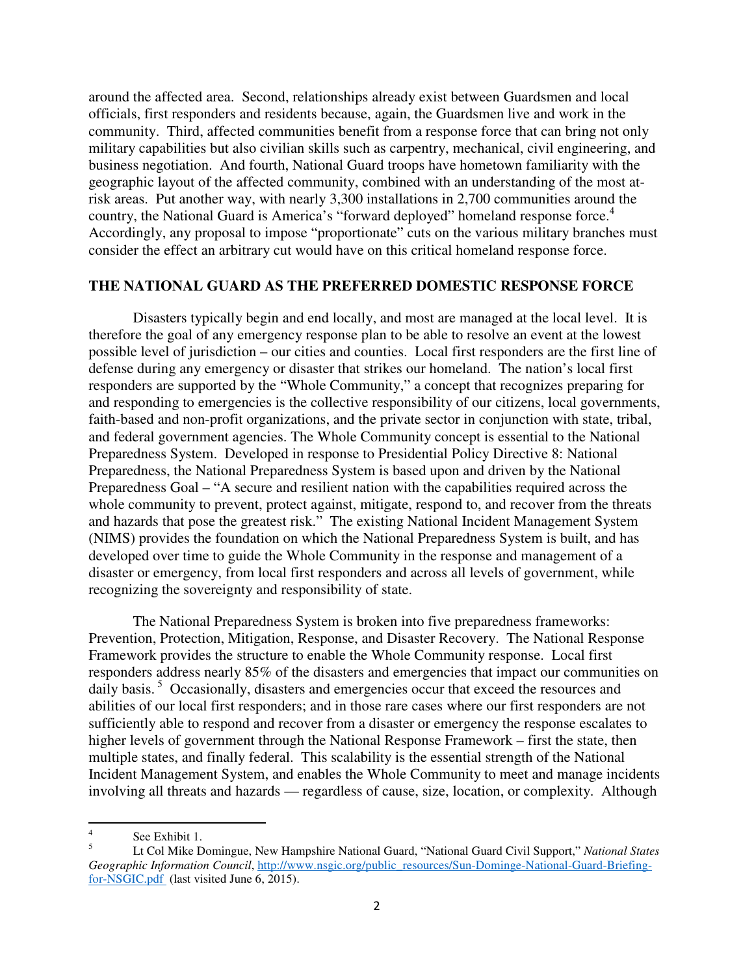around the affected area. Second, relationships already exist between Guardsmen and local officials, first responders and residents because, again, the Guardsmen live and work in the community. Third, affected communities benefit from a response force that can bring not only military capabilities but also civilian skills such as carpentry, mechanical, civil engineering, and business negotiation. And fourth, National Guard troops have hometown familiarity with the geographic layout of the affected community, combined with an understanding of the most atrisk areas. Put another way, with nearly 3,300 installations in 2,700 communities around the country, the National Guard is America's "forward deployed" homeland response force.<sup>4</sup> Accordingly, any proposal to impose "proportionate" cuts on the various military branches must consider the effect an arbitrary cut would have on this critical homeland response force.

### **THE NATIONAL GUARD AS THE PREFERRED DOMESTIC RESPONSE FORCE**

Disasters typically begin and end locally, and most are managed at the local level. It is therefore the goal of any emergency response plan to be able to resolve an event at the lowest possible level of jurisdiction – our cities and counties. Local first responders are the first line of defense during any emergency or disaster that strikes our homeland. The nation's local first responders are supported by the "Whole Community," a concept that recognizes preparing for and responding to emergencies is the collective responsibility of our citizens, local governments, faith-based and non-profit organizations, and the private sector in conjunction with state, tribal, and federal government agencies. The Whole Community concept is essential to the National Preparedness System. Developed in response to Presidential Policy Directive 8: National Preparedness, the National Preparedness System is based upon and driven by the National Preparedness Goal – "A secure and resilient nation with the capabilities required across the whole community to prevent, protect against, mitigate, respond to, and recover from the threats and hazards that pose the greatest risk." The existing National Incident Management System (NIMS) provides the foundation on which the National Preparedness System is built, and has developed over time to guide the Whole Community in the response and management of a disaster or emergency, from local first responders and across all levels of government, while recognizing the sovereignty and responsibility of state.

The National Preparedness System is broken into five preparedness frameworks: Prevention, Protection, Mitigation, Response, and Disaster Recovery. The National Response Framework provides the structure to enable the Whole Community response. Local first responders address nearly 85% of the disasters and emergencies that impact our communities on daily basis.<sup>5</sup> Occasionally, disasters and emergencies occur that exceed the resources and abilities of our local first responders; and in those rare cases where our first responders are not sufficiently able to respond and recover from a disaster or emergency the response escalates to higher levels of government through the National Response Framework – first the state, then multiple states, and finally federal. This scalability is the essential strength of the National Incident Management System, and enables the Whole Community to meet and manage incidents involving all threats and hazards — regardless of cause, size, location, or complexity. Although

<sup>4</sup> See Exhibit 1.

<sup>5</sup> Lt Col Mike Domingue, New Hampshire National Guard, "National Guard Civil Support," *National States Geographic Information Council*, http://www.nsgic.org/public\_resources/Sun-Dominge-National-Guard-Briefingfor-NSGIC.pdf (last visited June 6, 2015).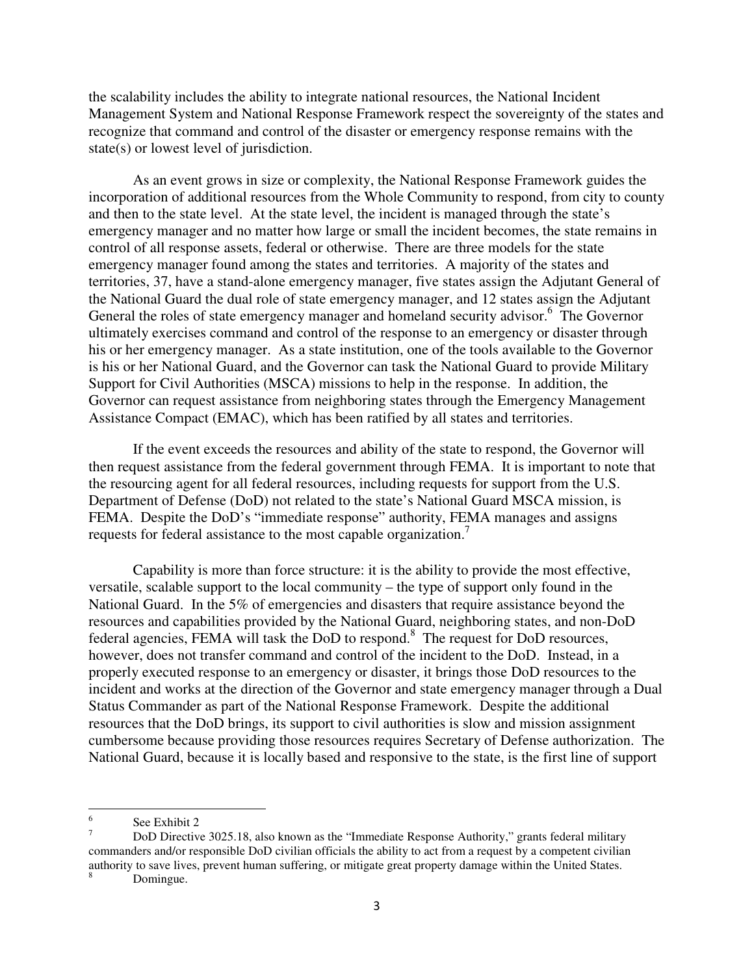the scalability includes the ability to integrate national resources, the National Incident Management System and National Response Framework respect the sovereignty of the states and recognize that command and control of the disaster or emergency response remains with the state(s) or lowest level of jurisdiction.

As an event grows in size or complexity, the National Response Framework guides the incorporation of additional resources from the Whole Community to respond, from city to county and then to the state level. At the state level, the incident is managed through the state's emergency manager and no matter how large or small the incident becomes, the state remains in control of all response assets, federal or otherwise. There are three models for the state emergency manager found among the states and territories. A majority of the states and territories, 37, have a stand-alone emergency manager, five states assign the Adjutant General of the National Guard the dual role of state emergency manager, and 12 states assign the Adjutant General the roles of state emergency manager and homeland security advisor.<sup>6</sup> The Governor ultimately exercises command and control of the response to an emergency or disaster through his or her emergency manager. As a state institution, one of the tools available to the Governor is his or her National Guard, and the Governor can task the National Guard to provide Military Support for Civil Authorities (MSCA) missions to help in the response. In addition, the Governor can request assistance from neighboring states through the Emergency Management Assistance Compact (EMAC), which has been ratified by all states and territories.

If the event exceeds the resources and ability of the state to respond, the Governor will then request assistance from the federal government through FEMA. It is important to note that the resourcing agent for all federal resources, including requests for support from the U.S. Department of Defense (DoD) not related to the state's National Guard MSCA mission, is FEMA. Despite the DoD's "immediate response" authority, FEMA manages and assigns requests for federal assistance to the most capable organization.<sup>7</sup>

Capability is more than force structure: it is the ability to provide the most effective, versatile, scalable support to the local community – the type of support only found in the National Guard. In the 5% of emergencies and disasters that require assistance beyond the resources and capabilities provided by the National Guard, neighboring states, and non-DoD federal agencies, FEMA will task the DoD to respond.<sup>8</sup> The request for DoD resources, however, does not transfer command and control of the incident to the DoD. Instead, in a properly executed response to an emergency or disaster, it brings those DoD resources to the incident and works at the direction of the Governor and state emergency manager through a Dual Status Commander as part of the National Response Framework. Despite the additional resources that the DoD brings, its support to civil authorities is slow and mission assignment cumbersome because providing those resources requires Secretary of Defense authorization. The National Guard, because it is locally based and responsive to the state, is the first line of support

<sup>6</sup> See Exhibit 2

<sup>7</sup> DoD Directive 3025.18, also known as the "Immediate Response Authority," grants federal military commanders and/or responsible DoD civilian officials the ability to act from a request by a competent civilian authority to save lives, prevent human suffering, or mitigate great property damage within the United States.

<sup>8</sup> Domingue.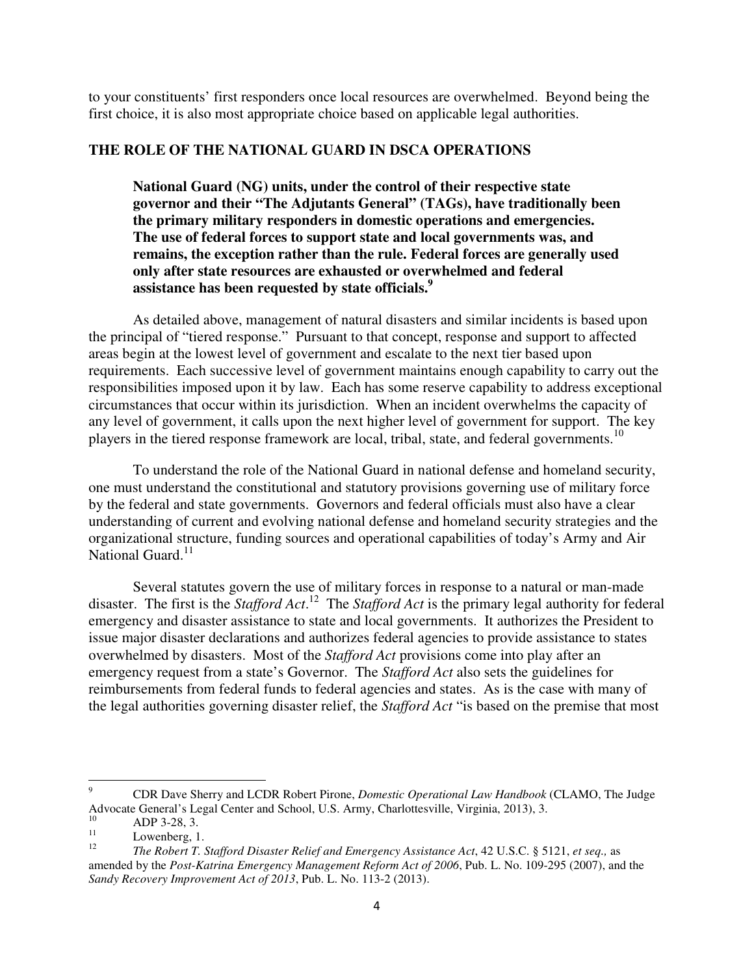to your constituents' first responders once local resources are overwhelmed. Beyond being the first choice, it is also most appropriate choice based on applicable legal authorities.

## **THE ROLE OF THE NATIONAL GUARD IN DSCA OPERATIONS**

**National Guard (NG) units, under the control of their respective state governor and their "The Adjutants General" (TAGs), have traditionally been the primary military responders in domestic operations and emergencies. The use of federal forces to support state and local governments was, and remains, the exception rather than the rule. Federal forces are generally used only after state resources are exhausted or overwhelmed and federal assistance has been requested by state officials.<sup>9</sup>**

As detailed above, management of natural disasters and similar incidents is based upon the principal of "tiered response." Pursuant to that concept, response and support to affected areas begin at the lowest level of government and escalate to the next tier based upon requirements. Each successive level of government maintains enough capability to carry out the responsibilities imposed upon it by law. Each has some reserve capability to address exceptional circumstances that occur within its jurisdiction. When an incident overwhelms the capacity of any level of government, it calls upon the next higher level of government for support. The key players in the tiered response framework are local, tribal, state, and federal governments.<sup>10</sup>

To understand the role of the National Guard in national defense and homeland security, one must understand the constitutional and statutory provisions governing use of military force by the federal and state governments. Governors and federal officials must also have a clear understanding of current and evolving national defense and homeland security strategies and the organizational structure, funding sources and operational capabilities of today's Army and Air National Guard.<sup>11</sup>

Several statutes govern the use of military forces in response to a natural or man-made disaster. The first is the *Stafford Act*. <sup>12</sup> The *Stafford Act* is the primary legal authority for federal emergency and disaster assistance to state and local governments. It authorizes the President to issue major disaster declarations and authorizes federal agencies to provide assistance to states overwhelmed by disasters. Most of the *Stafford Act* provisions come into play after an emergency request from a state's Governor. The *Stafford Act* also sets the guidelines for reimbursements from federal funds to federal agencies and states. As is the case with many of the legal authorities governing disaster relief, the *Stafford Act* "is based on the premise that most

<sup>9</sup> CDR Dave Sherry and LCDR Robert Pirone, *Domestic Operational Law Handbook* (CLAMO, The Judge Advocate General's Legal Center and School, U.S. Army, Charlottesville, Virginia, 2013), 3.

 $10$  ADP 3-28, 3.

Lowenberg, 1. 12

*The Robert T. Stafford Disaster Relief and Emergency Assistance Act*, 42 U.S.C. § 5121, *et seq.,* as amended by the *Post-Katrina Emergency Management Reform Act of 2006*, Pub. L. No. 109-295 (2007), and the *Sandy Recovery Improvement Act of 2013*, Pub. L. No. 113-2 (2013).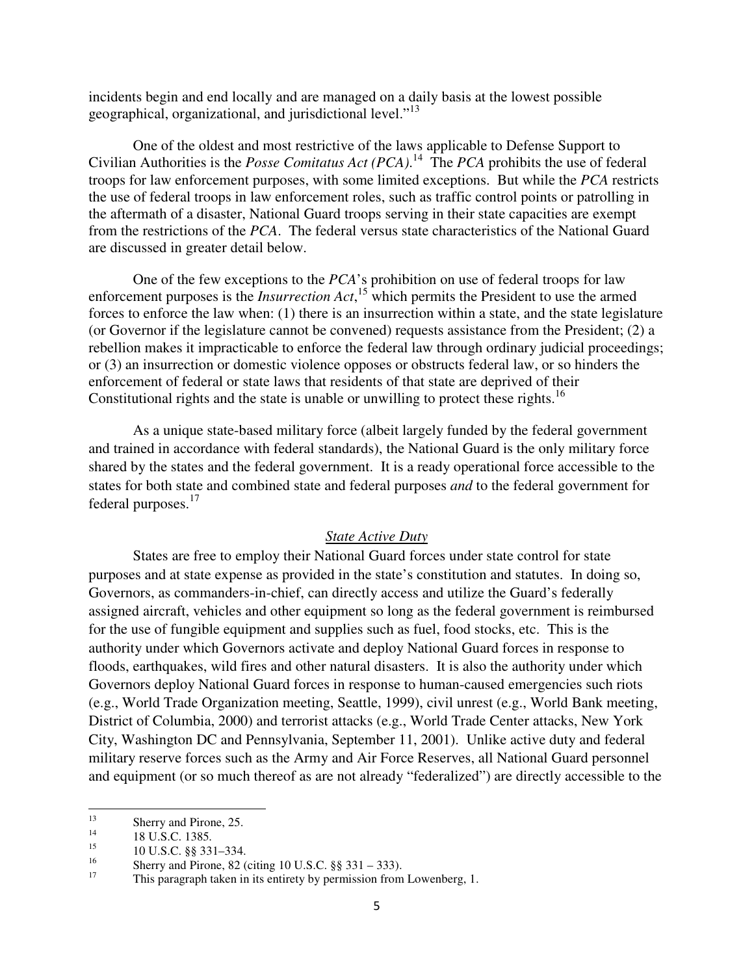incidents begin and end locally and are managed on a daily basis at the lowest possible geographical, organizational, and jurisdictional level."<sup>13</sup>

One of the oldest and most restrictive of the laws applicable to Defense Support to Civilian Authorities is the *Posse Comitatus Act (PCA)*. <sup>14</sup> The *PCA* prohibits the use of federal troops for law enforcement purposes, with some limited exceptions. But while the *PCA* restricts the use of federal troops in law enforcement roles, such as traffic control points or patrolling in the aftermath of a disaster, National Guard troops serving in their state capacities are exempt from the restrictions of the *PCA*. The federal versus state characteristics of the National Guard are discussed in greater detail below.

One of the few exceptions to the *PCA*'s prohibition on use of federal troops for law enforcement purposes is the *Insurrection Act*,<sup>15</sup> which permits the President to use the armed forces to enforce the law when: (1) there is an insurrection within a state, and the state legislature (or Governor if the legislature cannot be convened) requests assistance from the President; (2) a rebellion makes it impracticable to enforce the federal law through ordinary judicial proceedings; or (3) an insurrection or domestic violence opposes or obstructs federal law, or so hinders the enforcement of federal or state laws that residents of that state are deprived of their Constitutional rights and the state is unable or unwilling to protect these rights.<sup>16</sup>

As a unique state-based military force (albeit largely funded by the federal government and trained in accordance with federal standards), the National Guard is the only military force shared by the states and the federal government. It is a ready operational force accessible to the states for both state and combined state and federal purposes *and* to the federal government for federal purposes.<sup>17</sup>

### *State Active Duty*

States are free to employ their National Guard forces under state control for state purposes and at state expense as provided in the state's constitution and statutes. In doing so, Governors, as commanders-in-chief, can directly access and utilize the Guard's federally assigned aircraft, vehicles and other equipment so long as the federal government is reimbursed for the use of fungible equipment and supplies such as fuel, food stocks, etc. This is the authority under which Governors activate and deploy National Guard forces in response to floods, earthquakes, wild fires and other natural disasters. It is also the authority under which Governors deploy National Guard forces in response to human-caused emergencies such riots (e.g., World Trade Organization meeting, Seattle, 1999), civil unrest (e.g., World Bank meeting, District of Columbia, 2000) and terrorist attacks (e.g., World Trade Center attacks, New York City, Washington DC and Pennsylvania, September 11, 2001). Unlike active duty and federal military reserve forces such as the Army and Air Force Reserves, all National Guard personnel and equipment (or so much thereof as are not already "federalized") are directly accessible to the

 $\frac{13}{14}$  Sherry and Pirone, 25.

<sup>14 18</sup> U.S.C. 1385.

<sup>&</sup>lt;sup>15</sup> 10 U.S.C.  $\S$ § 331–334.<br><sup>16</sup> Showy and Pirana, 82.6

<sup>&</sup>lt;sup>16</sup> Sherry and Pirone, 82 (citing 10 U.S.C. §§ 331 – 333).

This paragraph taken in its entirety by permission from Lowenberg, 1.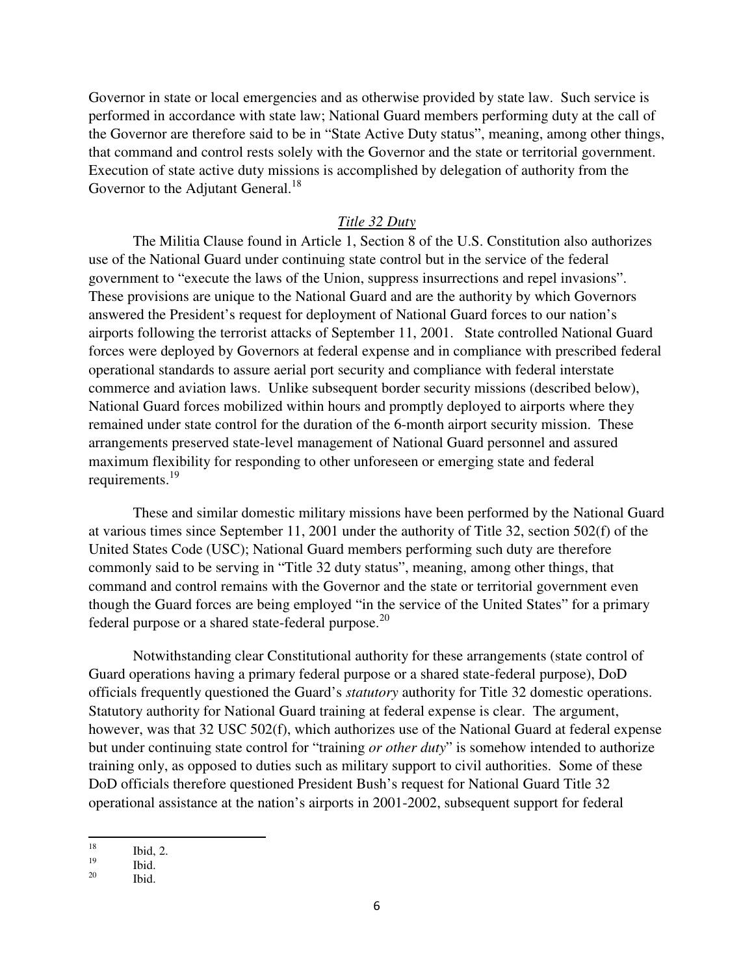Governor in state or local emergencies and as otherwise provided by state law. Such service is performed in accordance with state law; National Guard members performing duty at the call of the Governor are therefore said to be in "State Active Duty status", meaning, among other things, that command and control rests solely with the Governor and the state or territorial government. Execution of state active duty missions is accomplished by delegation of authority from the Governor to the Adjutant General.<sup>18</sup>

### *Title 32 Duty*

The Militia Clause found in Article 1, Section 8 of the U.S. Constitution also authorizes use of the National Guard under continuing state control but in the service of the federal government to "execute the laws of the Union, suppress insurrections and repel invasions". These provisions are unique to the National Guard and are the authority by which Governors answered the President's request for deployment of National Guard forces to our nation's airports following the terrorist attacks of September 11, 2001. State controlled National Guard forces were deployed by Governors at federal expense and in compliance with prescribed federal operational standards to assure aerial port security and compliance with federal interstate commerce and aviation laws. Unlike subsequent border security missions (described below), National Guard forces mobilized within hours and promptly deployed to airports where they remained under state control for the duration of the 6-month airport security mission. These arrangements preserved state-level management of National Guard personnel and assured maximum flexibility for responding to other unforeseen or emerging state and federal requirements.<sup>19</sup>

These and similar domestic military missions have been performed by the National Guard at various times since September 11, 2001 under the authority of Title 32, section 502(f) of the United States Code (USC); National Guard members performing such duty are therefore commonly said to be serving in "Title 32 duty status", meaning, among other things, that command and control remains with the Governor and the state or territorial government even though the Guard forces are being employed "in the service of the United States" for a primary federal purpose or a shared state-federal purpose.<sup>20</sup>

Notwithstanding clear Constitutional authority for these arrangements (state control of Guard operations having a primary federal purpose or a shared state-federal purpose), DoD officials frequently questioned the Guard's *statutory* authority for Title 32 domestic operations. Statutory authority for National Guard training at federal expense is clear. The argument, however, was that 32 USC 502(f), which authorizes use of the National Guard at federal expense but under continuing state control for "training *or other duty*" is somehow intended to authorize training only, as opposed to duties such as military support to civil authorities. Some of these DoD officials therefore questioned President Bush's request for National Guard Title 32 operational assistance at the nation's airports in 2001-2002, subsequent support for federal

 $\begin{array}{cc}\n^{18} \\
^{19}\n\end{array}$  Ibid, 2.

 $\frac{19}{20}$  Ibid.

Ibid.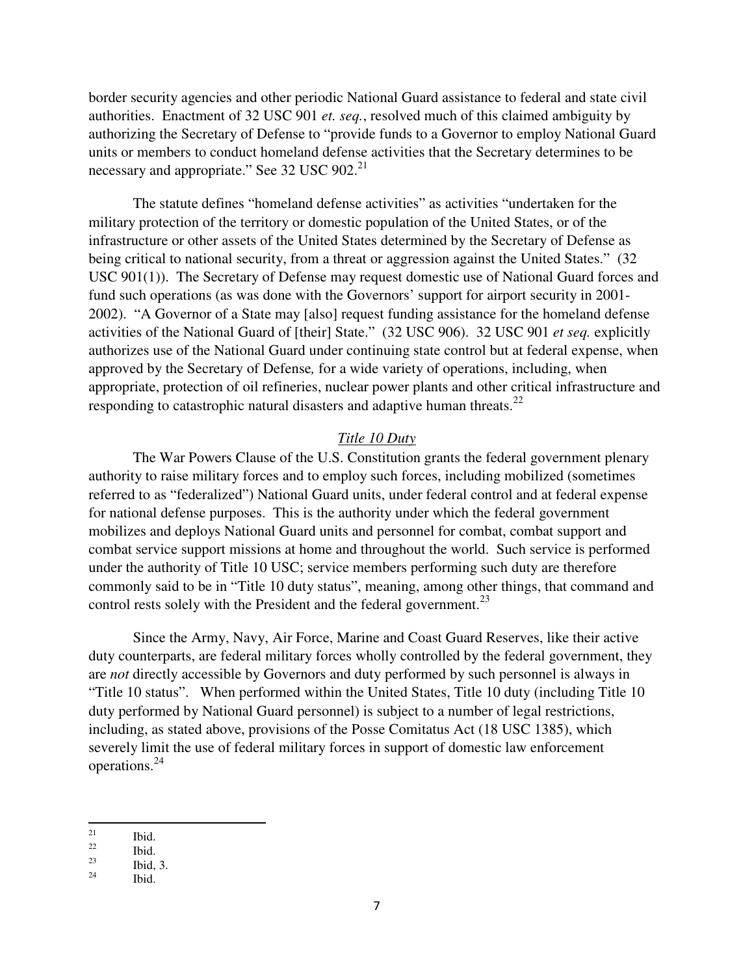border security agencies and other periodic National Guard assistance to federal and state civil authorities. Enactment of 32 USC 901 *et. seq.*, resolved much of this claimed ambiguity by authorizing the Secretary of Defense to "provide funds to a Governor to employ National Guard units or members to conduct homeland defense activities that the Secretary determines to be necessary and appropriate." See 32 USC 902. $^{21}$ 

The statute defines "homeland defense activities" as activities "undertaken for the military protection of the territory or domestic population of the United States, or of the infrastructure or other assets of the United States determined by the Secretary of Defense as being critical to national security, from a threat or aggression against the United States." (32) USC 901(1)). The Secretary of Defense may request domestic use of National Guard forces and fund such operations (as was done with the Governors' support for airport security in 2001- 2002). "A Governor of a State may [also] request funding assistance for the homeland defense activities of the National Guard of [their] State." (32 USC 906). 32 USC 901 *et seq.* explicitly authorizes use of the National Guard under continuing state control but at federal expense, when approved by the Secretary of Defense*,* for a wide variety of operations, including, when appropriate, protection of oil refineries, nuclear power plants and other critical infrastructure and responding to catastrophic natural disasters and adaptive human threats. $^{22}$ 

#### *Title 10 Duty*

The War Powers Clause of the U.S. Constitution grants the federal government plenary authority to raise military forces and to employ such forces, including mobilized (sometimes referred to as "federalized") National Guard units, under federal control and at federal expense for national defense purposes. This is the authority under which the federal government mobilizes and deploys National Guard units and personnel for combat, combat support and combat service support missions at home and throughout the world. Such service is performed under the authority of Title 10 USC; service members performing such duty are therefore commonly said to be in "Title 10 duty status", meaning, among other things, that command and control rests solely with the President and the federal government. $^{23}$ 

Since the Army, Navy, Air Force, Marine and Coast Guard Reserves, like their active duty counterparts, are federal military forces wholly controlled by the federal government, they are *not* directly accessible by Governors and duty performed by such personnel is always in "Title 10 status". When performed within the United States, Title 10 duty (including Title 10 duty performed by National Guard personnel) is subject to a number of legal restrictions, including, as stated above, provisions of the Posse Comitatus Act (18 USC 1385), which severely limit the use of federal military forces in support of domestic law enforcement operations.<sup>24</sup>

 $\frac{21}{22}$  Ibid.

 $\frac{22}{23}$  Ibid.

 $\begin{array}{cc}\n^{23} & \text{Ibid, 3.} \\
^{24} & \text{II.14}\n\end{array}$ 

Ibid.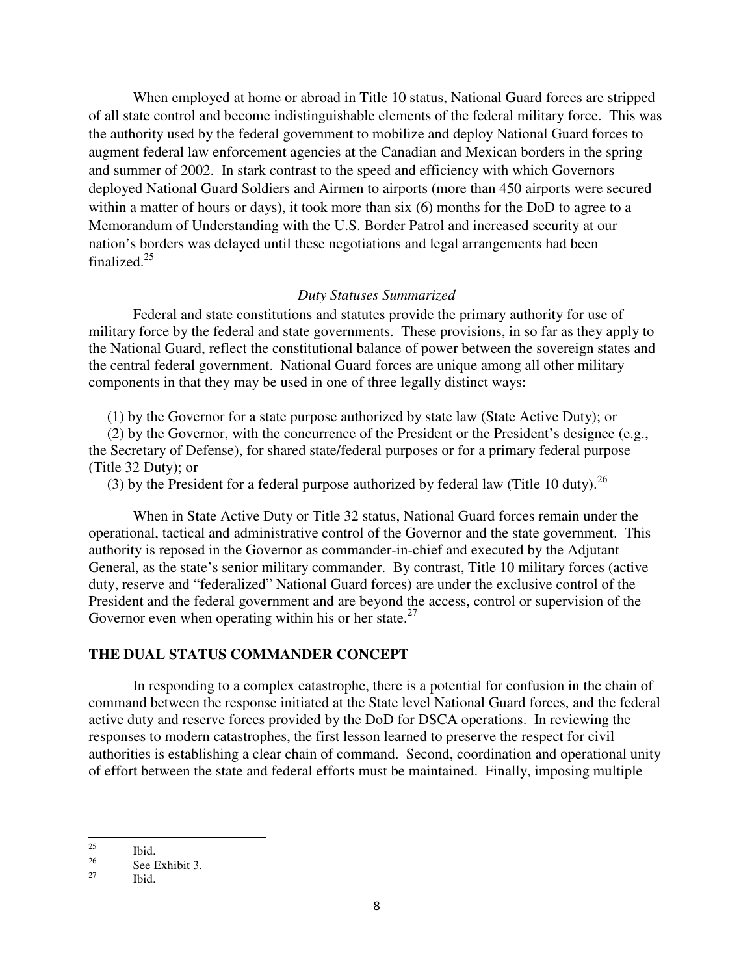When employed at home or abroad in Title 10 status, National Guard forces are stripped of all state control and become indistinguishable elements of the federal military force. This was the authority used by the federal government to mobilize and deploy National Guard forces to augment federal law enforcement agencies at the Canadian and Mexican borders in the spring and summer of 2002. In stark contrast to the speed and efficiency with which Governors deployed National Guard Soldiers and Airmen to airports (more than 450 airports were secured within a matter of hours or days), it took more than six (6) months for the DoD to agree to a Memorandum of Understanding with the U.S. Border Patrol and increased security at our nation's borders was delayed until these negotiations and legal arrangements had been finalized.<sup>25</sup>

## *Duty Statuses Summarized*

Federal and state constitutions and statutes provide the primary authority for use of military force by the federal and state governments. These provisions, in so far as they apply to the National Guard, reflect the constitutional balance of power between the sovereign states and the central federal government. National Guard forces are unique among all other military components in that they may be used in one of three legally distinct ways:

(1) by the Governor for a state purpose authorized by state law (State Active Duty); or

 (2) by the Governor, with the concurrence of the President or the President's designee (e.g., the Secretary of Defense), for shared state/federal purposes or for a primary federal purpose (Title 32 Duty); or

(3) by the President for a federal purpose authorized by federal law (Title 10 duty).<sup>26</sup>

When in State Active Duty or Title 32 status, National Guard forces remain under the operational, tactical and administrative control of the Governor and the state government. This authority is reposed in the Governor as commander-in-chief and executed by the Adjutant General, as the state's senior military commander. By contrast, Title 10 military forces (active duty, reserve and "federalized" National Guard forces) are under the exclusive control of the President and the federal government and are beyond the access, control or supervision of the Governor even when operating within his or her state.<sup>27</sup>

### **THE DUAL STATUS COMMANDER CONCEPT**

In responding to a complex catastrophe, there is a potential for confusion in the chain of command between the response initiated at the State level National Guard forces, and the federal active duty and reserve forces provided by the DoD for DSCA operations. In reviewing the responses to modern catastrophes, the first lesson learned to preserve the respect for civil authorities is establishing a clear chain of command. Second, coordination and operational unity of effort between the state and federal efforts must be maintained. Finally, imposing multiple

 $\frac{25}{26}$  Ibid.

 $\frac{26}{27}$  See Exhibit 3.

Ibid.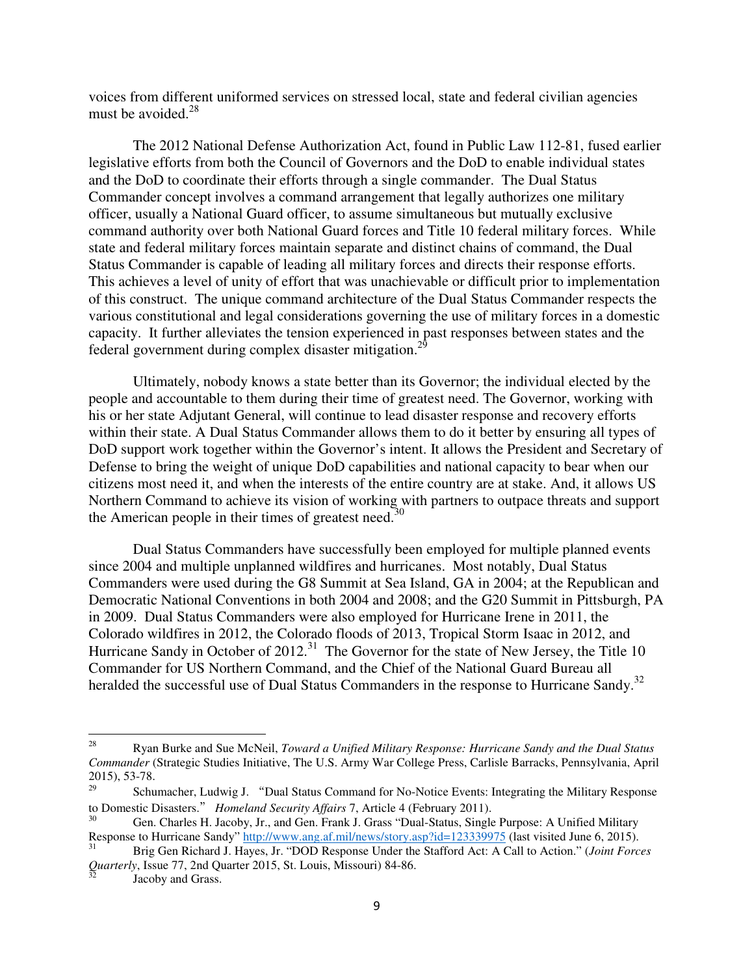voices from different uniformed services on stressed local, state and federal civilian agencies must be avoided.<sup>28</sup>

The 2012 National Defense Authorization Act, found in Public Law 112-81, fused earlier legislative efforts from both the Council of Governors and the DoD to enable individual states and the DoD to coordinate their efforts through a single commander. The Dual Status Commander concept involves a command arrangement that legally authorizes one military officer, usually a National Guard officer, to assume simultaneous but mutually exclusive command authority over both National Guard forces and Title 10 federal military forces. While state and federal military forces maintain separate and distinct chains of command, the Dual Status Commander is capable of leading all military forces and directs their response efforts. This achieves a level of unity of effort that was unachievable or difficult prior to implementation of this construct. The unique command architecture of the Dual Status Commander respects the various constitutional and legal considerations governing the use of military forces in a domestic capacity. It further alleviates the tension experienced in past responses between states and the federal government during complex disaster mitigation.<sup>29</sup>

Ultimately, nobody knows a state better than its Governor; the individual elected by the people and accountable to them during their time of greatest need. The Governor, working with his or her state Adjutant General, will continue to lead disaster response and recovery efforts within their state. A Dual Status Commander allows them to do it better by ensuring all types of DoD support work together within the Governor's intent. It allows the President and Secretary of Defense to bring the weight of unique DoD capabilities and national capacity to bear when our citizens most need it, and when the interests of the entire country are at stake. And, it allows US Northern Command to achieve its vision of working with partners to outpace threats and support the American people in their times of greatest need.<sup>30</sup>

Dual Status Commanders have successfully been employed for multiple planned events since 2004 and multiple unplanned wildfires and hurricanes. Most notably, Dual Status Commanders were used during the G8 Summit at Sea Island, GA in 2004; at the Republican and Democratic National Conventions in both 2004 and 2008; and the G20 Summit in Pittsburgh, PA in 2009. Dual Status Commanders were also employed for Hurricane Irene in 2011, the Colorado wildfires in 2012, the Colorado floods of 2013, Tropical Storm Isaac in 2012, and Hurricane Sandy in October of 2012.<sup>31</sup> The Governor for the state of New Jersey, the Title 10 Commander for US Northern Command, and the Chief of the National Guard Bureau all heralded the successful use of Dual Status Commanders in the response to Hurricane Sandy.<sup>32</sup>

<sup>28</sup> Ryan Burke and Sue McNeil, *Toward a Unified Military Response: Hurricane Sandy and the Dual Status Commander* (Strategic Studies Initiative, The U.S. Army War College Press, Carlisle Barracks, Pennsylvania, April 2015), 53-78.

<sup>29</sup> Schumacher, Ludwig J. "Dual Status Command for No-Notice Events: Integrating the Military Response to Domestic Disasters." *Homeland Security Affairs* 7, Article 4 (February 2011).

<sup>30</sup> Gen. Charles H. Jacoby, Jr., and Gen. Frank J. Grass "Dual-Status, Single Purpose: A Unified Military Response to Hurricane Sandy" http://www.ang.af.mil/news/story.asp?id=123339975 (last visited June 6, 2015).

<sup>31</sup> Brig Gen Richard J. Hayes, Jr. "DOD Response Under the Stafford Act: A Call to Action." (*Joint Forces Quarterly*, Issue 77, 2nd Quarter 2015, St. Louis, Missouri) 84-86.

Jacoby and Grass.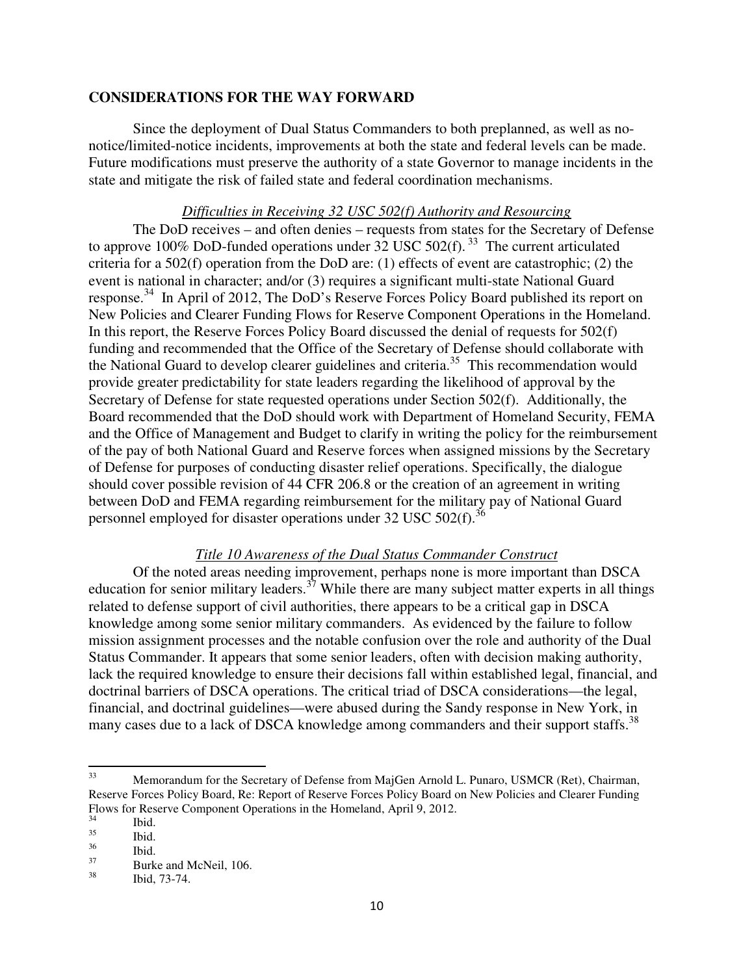### **CONSIDERATIONS FOR THE WAY FORWARD**

Since the deployment of Dual Status Commanders to both preplanned, as well as nonotice/limited-notice incidents, improvements at both the state and federal levels can be made. Future modifications must preserve the authority of a state Governor to manage incidents in the state and mitigate the risk of failed state and federal coordination mechanisms.

#### *Difficulties in Receiving 32 USC 502(f) Authority and Resourcing*

The DoD receives – and often denies – requests from states for the Secretary of Defense to approve 100% DoD-funded operations under  $32 \text{ USC } 502(f)$ . <sup>33</sup> The current articulated criteria for a 502(f) operation from the DoD are: (1) effects of event are catastrophic; (2) the event is national in character; and/or (3) requires a significant multi-state National Guard response.<sup>34</sup> In April of 2012, The DoD's Reserve Forces Policy Board published its report on New Policies and Clearer Funding Flows for Reserve Component Operations in the Homeland. In this report, the Reserve Forces Policy Board discussed the denial of requests for 502(f) funding and recommended that the Office of the Secretary of Defense should collaborate with the National Guard to develop clearer guidelines and criteria.<sup>35</sup> This recommendation would provide greater predictability for state leaders regarding the likelihood of approval by the Secretary of Defense for state requested operations under Section 502(f). Additionally, the Board recommended that the DoD should work with Department of Homeland Security, FEMA and the Office of Management and Budget to clarify in writing the policy for the reimbursement of the pay of both National Guard and Reserve forces when assigned missions by the Secretary of Defense for purposes of conducting disaster relief operations. Specifically, the dialogue should cover possible revision of 44 CFR 206.8 or the creation of an agreement in writing between DoD and FEMA regarding reimbursement for the military pay of National Guard personnel employed for disaster operations under 32 USC 502(f).<sup>36</sup>

## *Title 10 Awareness of the Dual Status Commander Construct*

Of the noted areas needing improvement, perhaps none is more important than DSCA education for senior military leaders.<sup>37</sup> While there are many subject matter experts in all things related to defense support of civil authorities, there appears to be a critical gap in DSCA knowledge among some senior military commanders. As evidenced by the failure to follow mission assignment processes and the notable confusion over the role and authority of the Dual Status Commander. It appears that some senior leaders, often with decision making authority, lack the required knowledge to ensure their decisions fall within established legal, financial, and doctrinal barriers of DSCA operations. The critical triad of DSCA considerations—the legal, financial, and doctrinal guidelines—were abused during the Sandy response in New York, in many cases due to a lack of DSCA knowledge among commanders and their support staffs.<sup>38</sup>

<sup>&</sup>lt;sup>33</sup> Memorandum for the Secretary of Defense from MajGen Arnold L. Punaro, USMCR (Ret), Chairman, Reserve Forces Policy Board, Re: Report of Reserve Forces Policy Board on New Policies and Clearer Funding Flows for Reserve Component Operations in the Homeland, April 9, 2012.

 $rac{34}{35}$  Ibid.

 $\frac{35}{36}$  Ibid.

 $rac{36}{37}$  Ibid.

 $38$  Burke and McNeil, 106.

Ibid, 73-74.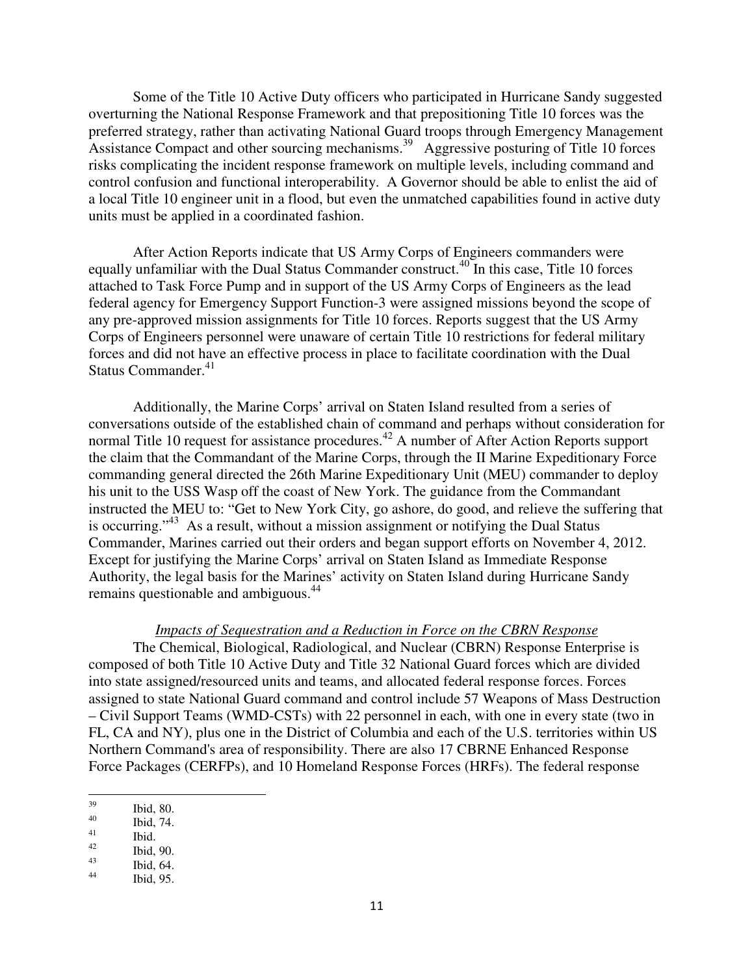Some of the Title 10 Active Duty officers who participated in Hurricane Sandy suggested overturning the National Response Framework and that prepositioning Title 10 forces was the preferred strategy, rather than activating National Guard troops through Emergency Management Assistance Compact and other sourcing mechanisms.<sup>39</sup> Aggressive posturing of Title 10 forces risks complicating the incident response framework on multiple levels, including command and control confusion and functional interoperability. A Governor should be able to enlist the aid of a local Title 10 engineer unit in a flood, but even the unmatched capabilities found in active duty units must be applied in a coordinated fashion.

After Action Reports indicate that US Army Corps of Engineers commanders were equally unfamiliar with the Dual Status Commander construct.<sup>40</sup> In this case, Title 10 forces attached to Task Force Pump and in support of the US Army Corps of Engineers as the lead federal agency for Emergency Support Function-3 were assigned missions beyond the scope of any pre-approved mission assignments for Title 10 forces. Reports suggest that the US Army Corps of Engineers personnel were unaware of certain Title 10 restrictions for federal military forces and did not have an effective process in place to facilitate coordination with the Dual Status Commander. $41$ 

Additionally, the Marine Corps' arrival on Staten Island resulted from a series of conversations outside of the established chain of command and perhaps without consideration for normal Title 10 request for assistance procedures.<sup>42</sup> A number of After Action Reports support the claim that the Commandant of the Marine Corps, through the II Marine Expeditionary Force commanding general directed the 26th Marine Expeditionary Unit (MEU) commander to deploy his unit to the USS Wasp off the coast of New York. The guidance from the Commandant instructed the MEU to: "Get to New York City, go ashore, do good, and relieve the suffering that is occurring."<sup>43</sup> As a result, without a mission assignment or notifying the Dual Status Commander, Marines carried out their orders and began support efforts on November 4, 2012. Except for justifying the Marine Corps' arrival on Staten Island as Immediate Response Authority, the legal basis for the Marines' activity on Staten Island during Hurricane Sandy remains questionable and ambiguous.<sup>44</sup>

### *Impacts of Sequestration and a Reduction in Force on the CBRN Response*

The Chemical, Biological, Radiological, and Nuclear (CBRN) Response Enterprise is composed of both Title 10 Active Duty and Title 32 National Guard forces which are divided into state assigned/resourced units and teams, and allocated federal response forces. Forces assigned to state National Guard command and control include 57 Weapons of Mass Destruction – Civil Support Teams (WMD-CSTs) with 22 personnel in each, with one in every state (two in FL, CA and NY), plus one in the District of Columbia and each of the U.S. territories within US Northern Command's area of responsibility. There are also 17 CBRNE Enhanced Response Force Packages (CERFPs), and 10 Homeland Response Forces (HRFs). The federal response

 $\begin{array}{cc}\n 39 \\
 40\n \end{array}$  Ibid, 80.

 $^{40}$  Ibid, 74.

 $\frac{41}{42}$  Ibid.

 $\frac{42}{43}$  Ibid, 90.

 $\begin{array}{cc}\n^{43} & \text{Ibid, 64.} \\
^{44} & \text{II.1, 05}\n\end{array}$ 

Ibid, 95.